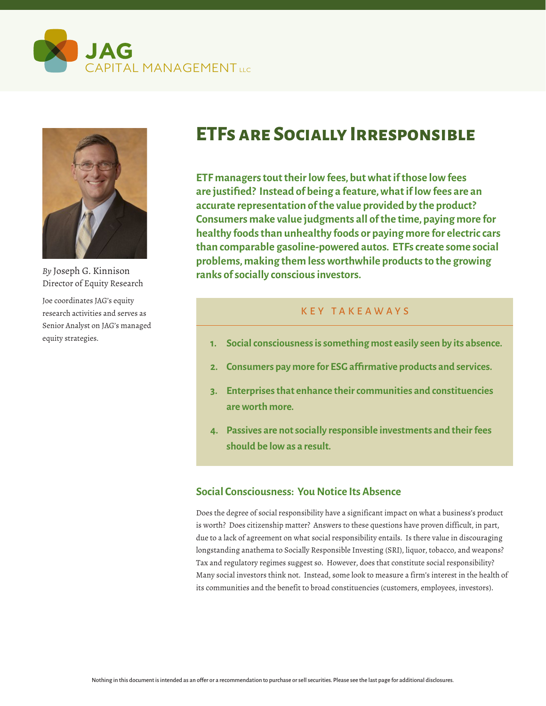



*By* Joseph G. Kinnison Director of Equity Research

Joe coordinates JAG's equity research activities and serves as Senior Analyst on JAG's managed equity strategies.

# **ETFs are Socially Irresponsible**

**ETF managers tout their low fees, but what if those low fees are justified? Instead of being a feature, what if low fees are an accurate representation of the value provided by the product? Consumers make value judgments all of the time, paying more for healthy foods than unhealthy foods or paying more for electric cars than comparable gasoline-powered autos. ETFs create some social problems, making them less worthwhile products to the growing ranks of socially conscious investors.**

## KEY TAKEAWAYS

- **1. Social consciousness is something most easily seen by its absence.**
- **2. Consumers pay more for ESG affirmative products and services.**
- **3. Enterprises that enhance their communities and constituencies are worth more.**
- **4. Passives are not socially responsible investments and their fees should be low as a result.**

## **Social Consciousness: You Notice Its Absence**

Does the degree of social responsibility have a significant impact on what a business's product is worth? Does citizenship matter? Answers to these questions have proven difficult, in part, due to a lack of agreement on what social responsibility entails. Is there value in discouraging longstanding anathema to Socially Responsible Investing (SRI), liquor, tobacco, and weapons? Tax and regulatory regimes suggest so. However, does that constitute social responsibility? Many social investors think not. Instead, some look to measure a firm's interest in the health of its communities and the benefit to broad constituencies (customers, employees, investors).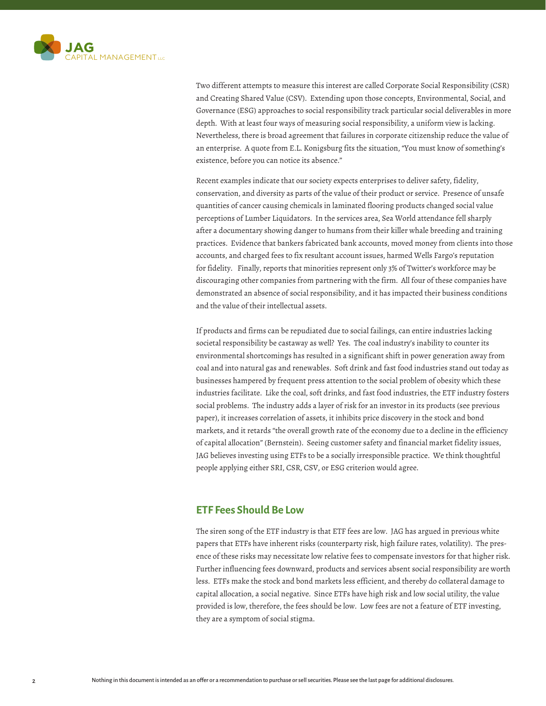

Two different attempts to measure this interest are called Corporate Social Responsibility (CSR) and Creating Shared Value (CSV). Extending upon those concepts, Environmental, Social, and Governance (ESG) approaches to social responsibility track particular social deliverables in more depth. With at least four ways of measuring social responsibility, a uniform view is lacking. Nevertheless, there is broad agreement that failures in corporate citizenship reduce the value of an enterprise. A quote from E.L. Konigsburg fits the situation, "You must know of something's existence, before you can notice its absence."

Recent examples indicate that our society expects enterprises to deliver safety, fidelity, conservation, and diversity as parts of the value of their product or service. Presence of unsafe quantities of cancer causing chemicals in laminated flooring products changed social value perceptions of Lumber Liquidators. In the services area, Sea World attendance fell sharply after a documentary showing danger to humans from their killer whale breeding and training practices. Evidence that bankers fabricated bank accounts, moved money from clients into those accounts, and charged fees to fix resultant account issues, harmed Wells Fargo's reputation for fidelity. Finally, reports that minorities represent only 3% of Twitter's workforce may be discouraging other companies from partnering with the firm. All four of these companies have demonstrated an absence of social responsibility, and it has impacted their business conditions and the value of their intellectual assets.

If products and firms can be repudiated due to social failings, can entire industries lacking societal responsibility be castaway as well? Yes. The coal industry's inability to counter its environmental shortcomings has resulted in a significant shift in power generation away from coal and into natural gas and renewables. Soft drink and fast food industries stand out today as businesses hampered by frequent press attention to the social problem of obesity which these industries facilitate. Like the coal, soft drinks, and fast food industries, the ETF industry fosters social problems. The industry adds a layer of risk for an investor in its products (see previous paper), it increases correlation of assets, it inhibits price discovery in the stock and bond markets, and it retards "the overall growth rate of the economy due to a decline in the efficiency of capital allocation" (Bernstein). Seeing customer safety and financial market fidelity issues, JAG believes investing using ETFs to be a socially irresponsible practice. We think thoughtful people applying either SRI, CSR, CSV, or ESG criterion would agree.

#### **ETF Fees Should Be Low**

The siren song of the ETF industry is that ETF fees are low. JAG has argued in previous white papers that ETFs have inherent risks (counterparty risk, high failure rates, volatility). The presence of these risks may necessitate low relative fees to compensate investors for that higher risk. Further influencing fees downward, products and services absent social responsibility are worth less. ETFs make the stock and bond markets less efficient, and thereby do collateral damage to capital allocation, a social negative. Since ETFs have high risk and low social utility, the value provided is low, therefore, the fees should be low. Low fees are not a feature of ETF investing, they are a symptom of social stigma.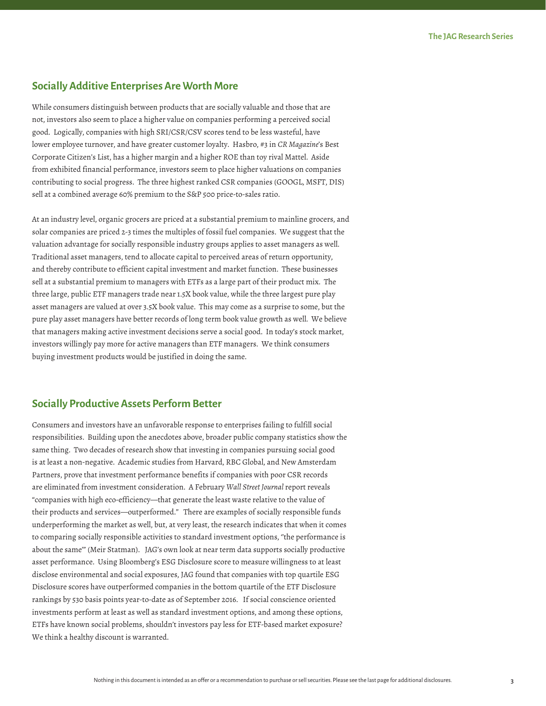#### **Socially Additive Enterprises Are Worth More**

While consumers distinguish between products that are socially valuable and those that are not, investors also seem to place a higher value on companies performing a perceived social good. Logically, companies with high SRI/CSR/CSV scores tend to be less wasteful, have lower employee turnover, and have greater customer loyalty. Hasbro, #3 in *CR Magazine*'s Best Corporate Citizen's List, has a higher margin and a higher ROE than toy rival Mattel. Aside from exhibited financial performance, investors seem to place higher valuations on companies contributing to social progress. The three highest ranked CSR companies (GOOGL, MSFT, DIS) sell at a combined average 60% premium to the S&P 500 price-to-sales ratio.

At an industry level, organic grocers are priced at a substantial premium to mainline grocers, and solar companies are priced 2-3 times the multiples of fossil fuel companies. We suggest that the valuation advantage for socially responsible industry groups applies to asset managers as well. Traditional asset managers, tend to allocate capital to perceived areas of return opportunity, and thereby contribute to efficient capital investment and market function. These businesses sell at a substantial premium to managers with ETFs as a large part of their product mix. The three large, public ETF managers trade near 1.5X book value, while the three largest pure play asset managers are valued at over 3.5X book value. This may come as a surprise to some, but the pure play asset managers have better records of long term book value growth as well. We believe that managers making active investment decisions serve a social good. In today's stock market, investors willingly pay more for active managers than ETF managers. We think consumers buying investment products would be justified in doing the same.

#### **Socially Productive Assets Perform Better**

Consumers and investors have an unfavorable response to enterprises failing to fulfill social responsibilities. Building upon the anecdotes above, broader public company statistics show the same thing. Two decades of research show that investing in companies pursuing social good is at least a non-negative. Academic studies from Harvard, RBC Global, and New Amsterdam Partners, prove that investment performance benefits if companies with poor CSR records are eliminated from investment consideration. A February *Wall Street Journal* report reveals "companies with high eco-efficiency—that generate the least waste relative to the value of their products and services—outperformed." There are examples of socially responsible funds underperforming the market as well, but, at very least, the research indicates that when it comes to comparing socially responsible activities to standard investment options, ''the performance is about the same'" (Meir Statman). JAG's own look at near term data supports socially productive asset performance. Using Bloomberg's ESG Disclosure score to measure willingness to at least disclose environmental and social exposures, JAG found that companies with top quartile ESG Disclosure scores have outperformed companies in the bottom quartile of the ETF Disclosure rankings by 530 basis points year-to-date as of September 2016. If social conscience oriented investments perform at least as well as standard investment options, and among these options, ETFs have known social problems, shouldn't investors pay less for ETF-based market exposure? We think a healthy discount is warranted.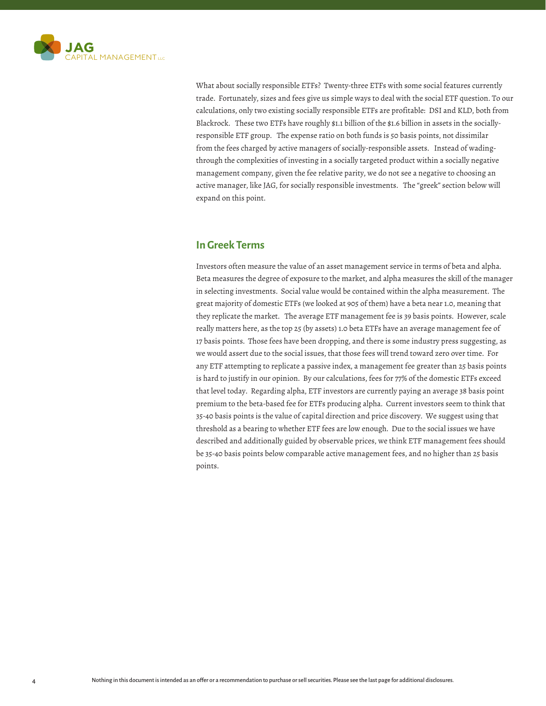

What about socially responsible ETFs? Twenty-three ETFs with some social features currently trade. Fortunately, sizes and fees give us simple ways to deal with the social ETF question. To our calculations, only two existing socially responsible ETFs are profitable: DSI and KLD, both from Blackrock. These two ETFs have roughly \$1.1 billion of the \$1.6 billion in assets in the sociallyresponsible ETF group. The expense ratio on both funds is 50 basis points, not dissimilar from the fees charged by active managers of socially-responsible assets. Instead of wadingthrough the complexities of investing in a socially targeted product within a socially negative management company, given the fee relative parity, we do not see a negative to choosing an active manager, like JAG, for socially responsible investments. The "greek" section below will expand on this point.

#### **In Greek Terms**

Investors often measure the value of an asset management service in terms of beta and alpha. Beta measures the degree of exposure to the market, and alpha measures the skill of the manager in selecting investments. Social value would be contained within the alpha measurement. The great majority of domestic ETFs (we looked at 905 of them) have a beta near 1.0, meaning that they replicate the market. The average ETF management fee is 39 basis points. However, scale really matters here, as the top 25 (by assets) 1.0 beta ETFs have an average management fee of 17 basis points. Those fees have been dropping, and there is some industry press suggesting, as we would assert due to the social issues, that those fees will trend toward zero over time. For any ETF attempting to replicate a passive index, a management fee greater than 25 basis points is hard to justify in our opinion. By our calculations, fees for 77% of the domestic ETFs exceed that level today. Regarding alpha, ETF investors are currently paying an average 38 basis point premium to the beta-based fee for ETFs producing alpha. Current investors seem to think that 35-40 basis points is the value of capital direction and price discovery. We suggest using that threshold as a bearing to whether ETF fees are low enough. Due to the social issues we have described and additionally guided by observable prices, we think ETF management fees should be 35-40 basis points below comparable active management fees, and no higher than 25 basis points.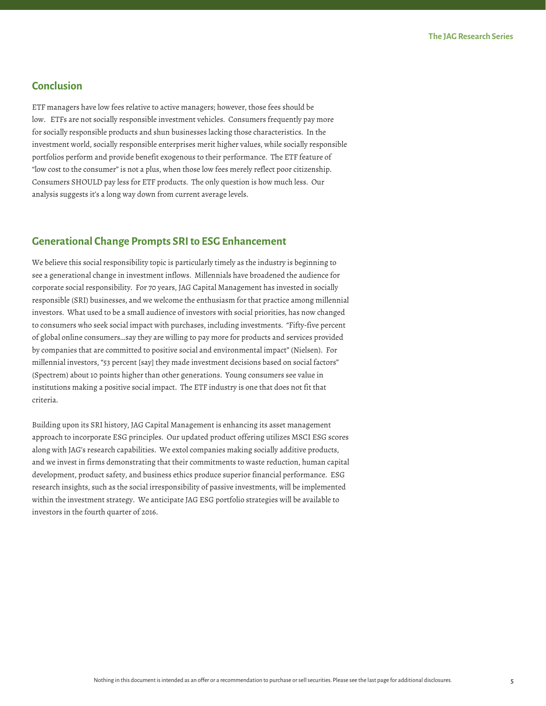## **Conclusion**

ETF managers have low fees relative to active managers; however, those fees should be low. ETFs are not socially responsible investment vehicles. Consumers frequently pay more for socially responsible products and shun businesses lacking those characteristics. In the investment world, socially responsible enterprises merit higher values, while socially responsible portfolios perform and provide benefit exogenous to their performance. The ETF feature of "low cost to the consumer" is not a plus, when those low fees merely reflect poor citizenship. Consumers SHOULD pay less for ETF products. The only question is how much less. Our analysis suggests it's a long way down from current average levels.

### **Generational Change Prompts SRI to ESG Enhancement**

We believe this social responsibility topic is particularly timely as the industry is beginning to see a generational change in investment inflows. Millennials have broadened the audience for corporate social responsibility. For 70 years, JAG Capital Management has invested in socially responsible (SRI) businesses, and we welcome the enthusiasm for that practice among millennial investors. What used to be a small audience of investors with social priorities, has now changed to consumers who seek social impact with purchases, including investments. "Fifty-five percent of global online consumers…say they are willing to pay more for products and services provided by companies that are committed to positive social and environmental impact" (Nielsen). For millennial investors, "53 percent [say] they made investment decisions based on social factors" (Spectrem) about 10 points higher than other generations. Young consumers see value in institutions making a positive social impact. The ETF industry is one that does not fit that criteria.

Building upon its SRI history, JAG Capital Management is enhancing its asset management approach to incorporate ESG principles. Our updated product offering utilizes MSCI ESG scores along with JAG's research capabilities. We extol companies making socially additive products, and we invest in firms demonstrating that their commitments to waste reduction, human capital development, product safety, and business ethics produce superior financial performance. ESG research insights, such as the social irresponsibility of passive investments, will be implemented within the investment strategy. We anticipate JAG ESG portfolio strategies will be available to investors in the fourth quarter of 2016.